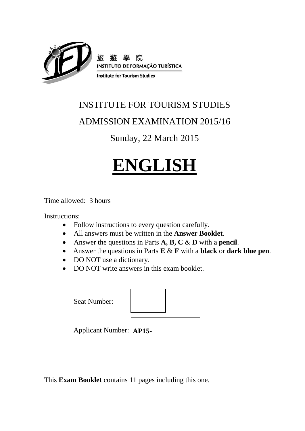

### INSTITUTE FOR TOURISM STUDIES

### ADMISSION EXAMINATION 2015/16

### Sunday, 22 March 2015

# **ENGLISH**

Time allowed: 3 hours

Instructions:

- Follow instructions to every question carefully.
- All answers must be written in the **Answer Booklet**.
- Answer the questions in Parts **A, B, C** & **D** with a **pencil**.
- Answer the questions in Parts **E** & **F** with a **black** or **dark blue pen**.
- DO NOT use a dictionary.
- DO NOT write answers in this exam booklet.

| <b>Seat Number:</b>     |  |
|-------------------------|--|
| Applicant Number: AP15- |  |

This **Exam Booklet** contains 11 pages including this one.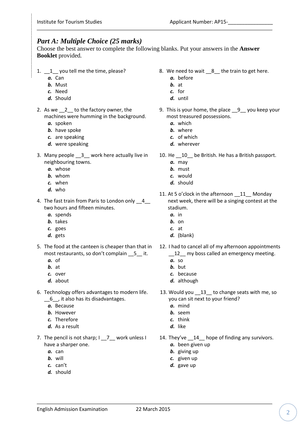### *Part A: Multiple Choice (25 marks)*

Choose the best answer to complete the following blanks. Put your answers in the **Answer Booklet** provided*.*

- 1.  $1 \_1$  you tell me the time, please?
	- *a.* Can
	- *b.* Must
	- *c.* Need
	- *d.* Should
- 2. As we 2 to the factory owner, the machines were humming in the background.
	- *a.* spoken
	- *b.* have spoke
	- *c.* are speaking
	- *d.* were speaking
- 3. Many people \_\_3\_\_ work here actually live in neighbouring towns.
	- *a.* whose
	- *b.* whom
	- *c.* when
	- *d.* who
- 4. The fast train from Paris to London only 4 two hours and fifteen minutes.
	- *a.* spends
	- *b.* takes
	- *c.* goes
	- *d.* gets
- most restaurants, so don't complain \_\_5\_\_ it.
	- *a.* of
	- *b.* at
	- *c.* over
	- *d.* about
- 6. Technology offers advantages to modern life. \_\_6\_\_, it also has its disadvantages.
	- *a.* Because
	- *b.* However
	- *c.* Therefore
	-
	- *d.* As a result
- 7. The pencil is not sharp; I \_\_7\_ work unless I have a sharper one.
	- *a.* can
	- *b.* will
	- *c.* can't
	- *d.* should
- 8. We need to wait \_\_8\_\_ the train to get here.
	- *a.* before
	- *b.* at
	- *c.* for
	- *d.* until
- 9. This is your home, the place 9 you keep your most treasured possessions.
	- *a.* which
	- *b.* where
	- *c.* of which
	- *d.* wherever
- 10. He \_\_10\_\_ be British. He has a British passport.
	- *a.* may
	- *b.* must
	- *c.* would
	- *d.* should
- 11. At 5 o'clock in the afternoon 11 Monday next week, there will be a singing contest at the stadium.
	- *a.* in
	- *b.* on
	- *c.* at
	- *d.* (blank)
- 5. The food at the canteen is cheaper than that in 12. I had to cancel all of my afternoon appointments 12 my boss called an emergency meeting.
	- *a.* so
	- *b.* but
	- *c.* because
	- *d.* although
	- 13. Would you 13\_ to change seats with me, so you can sit next to your friend?
		- *a.* mind
		- *b.* seem
		- *c.* think
		- *d.* like
	- 14. They've \_\_14\_\_ hope of finding any survivors.
		- *a.* been given up
		- *b.* giving up
		- *c.* given up
		- *d.* gave up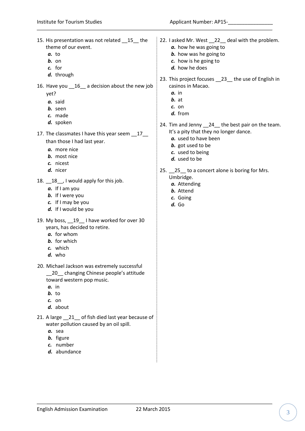15. His presentation was not related \_\_15\_\_ the theme of our event. *a.* to *b.* on *c.* for *d.* through 16. Have you \_\_16\_\_ a decision about the new job yet? *a.* said *b.* seen *c.* made *d.* spoken 17. The classmates I have this year seem 17 than those I had last year. *a.* more nice *b.* most nice *c.* nicest *d.* nicer 18. \_\_18\_\_, I would apply for this job. *a.* If I am you *b.* If I were you *c.* If I may be you *d.* If I would be you 19. My boss, 19 I have worked for over 30 years, has decided to retire. *a.* for whom *b.* for which *c.* which *d.* who 20. Michael Jackson was extremely successful \_20\_ changing Chinese people's attitude toward western pop music. *a.* in *b.* to *c.* on *d.* about 21. A large \_\_21\_\_ of fish died last year because of water pollution caused by an oil spill. *a.* sea *b.* figure *c.* number *d.* abundance 22. I asked Mr. West \_\_22\_\_ deal with the problem. *a.* how he was going to *b.* how was he going to *c.* how is he going to *d.* how he does 23. This project focuses \_\_23\_\_ the use of English in casinos in Macao. *a.* in *b.* at *c.* on *d.* from 24. Tim and Jenny 24\_ the best pair on the team. It's a pity that they no longer dance. *a.* used to have been *b.* got used to be *c.* used to being *d.* used to be 25. 25 to a concert alone is boring for Mrs. Umbridge. *a.* Attending *b.* Attend *c.* Going *d.* Go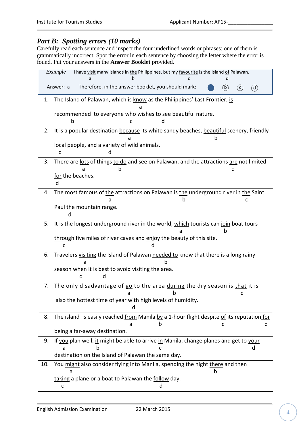### *Part B: Spotting errors (10 marks)*

Carefully read each sentence and inspect the four underlined words or phrases; one of them is grammatically incorrect. Spot the error in each sentence by choosing the letter where the error is found. Put your answers in the **Answer Booklet** provided.

|     | Example<br>I have visit many islands in the Philippines, but my favourite is the Island of Palawan.<br>a |
|-----|----------------------------------------------------------------------------------------------------------|
|     | Therefore, in the answer booklet, you should mark:<br>Answer: a<br>(b)<br>(c)<br>(d)                     |
| 1.  | The Island of Palawan, which is know as the Philippines' Last Frontier, is                               |
|     |                                                                                                          |
|     | recommended to everyone who wishes to see beautiful nature.<br>b<br>c                                    |
| 2.  | It is a popular destination because its white sandy beaches, beautiful scenery, friendly                 |
|     | h                                                                                                        |
|     | local people, and a variety of wild animals.<br>C                                                        |
| 3.  | There are lots of things to do and see on Palawan, and the attractions are not limited                   |
|     | n                                                                                                        |
|     | for the beaches.<br>d                                                                                    |
| 4.  | The most famous of the attractions on Palawan is the underground river in the Saint                      |
|     | n<br>c                                                                                                   |
|     | Paul the mountain range.<br>d                                                                            |
| 5.  | It is the longest underground river in the world, which tourists can join boat tours                     |
|     | h                                                                                                        |
|     | through five miles of river caves and enjoy the beauty of this site.                                     |
|     | C                                                                                                        |
| 6.  | Travelers visiting the Island of Palawan needed to know that there is a long rainy<br>a                  |
|     | season when it is best to avoid visiting the area.                                                       |
|     | $\mathsf{C}$<br>d                                                                                        |
| 7.  | The only disadvantage of go to the area during the dry season is that it is<br>b<br>c<br>a               |
|     | also the hottest time of year with high levels of humidity.                                              |
|     |                                                                                                          |
| 8.  | The island is easily reached from Manila by a 1-hour flight despite of its reputation for                |
|     | being a far-away destination.                                                                            |
| 9.  | If you plan well, it might be able to arrive in Manila, change planes and get to your                    |
|     | d<br>h<br>a                                                                                              |
|     |                                                                                                          |
|     | destination on the Island of Palawan the same day.                                                       |
| 10. | You might also consider flying into Manila, spending the night there and then<br>h<br>a                  |
|     | taking a plane or a boat to Palawan the follow day.<br>с                                                 |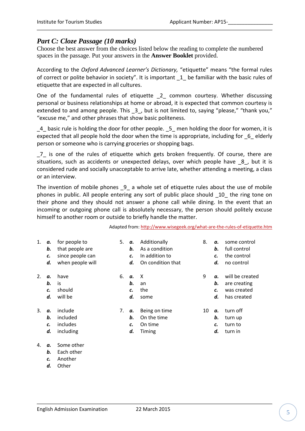### *Part C: Cloze Passage (10 marks)*

Choose the best answer from the choices listed below the reading to complete the numbered spaces in the passage. Put your answers in the **Answer Booklet** provided.

According to the *Oxford Advanced Learner's Dictionary,* "etiquette" means "the formal rules of correct or polite behavior in society". It is important \_1\_ be familiar with the basic rules of etiquette that are expected in all cultures.

One of the fundamental rules of etiquette 2 common courtesy. Whether discussing personal or business relationships at home or abroad, it is expected that common courtesy is extended to and among people. This 3, but is not limited to, saying "please," "thank you," "excuse me," and other phrases that show basic politeness.

\_4\_ basic rule is holding the door for other people. \_5\_ men holding the door for women, it is expected that all people hold the door when the time is appropriate, including for \_6\_ elderly person or someone who is carrying groceries or shopping bags.

\_7\_ is one of the rules of etiquette which gets broken frequently. Of course, there are situations, such as accidents or unexpected delays, over which people have 8, but it is considered rude and socially unacceptable to arrive late, whether attending a meeting, a class or an interview.

The invention of mobile phones \_9\_ a whole set of etiquette rules about the use of mobile phones in public. All people entering any sort of public place should \_10\_ the ring tone on their phone and they should not answer a phone call while dining. In the event that an incoming or outgoing phone call is absolutely necessary, the person should politely excuse himself to another room or outside to briefly handle the matter.

Adapted from:<http://www.wisegeek.org/what-are-the-rules-of-etiquette.htm>

| 1. | а.<br>b.<br>c.<br>d. | for people to<br>that people are<br>since people can<br>when people will | 5. | а.<br>b.<br>c.<br>d. | Additionally<br>As a condition<br>In addition to<br>On condition that | 8. | а.<br>b.<br>c.<br>d. | some control<br>full control<br>the control<br>no control     |
|----|----------------------|--------------------------------------------------------------------------|----|----------------------|-----------------------------------------------------------------------|----|----------------------|---------------------------------------------------------------|
| 2. | α.<br>b.<br>c.<br>d. | have<br>is<br>should<br>will be                                          | 6. | α.<br>b.<br>c.<br>d. | X<br>an<br>the<br>some                                                | 9  | α.<br>b.<br>c.<br>d. | will be created<br>are creating<br>was created<br>has created |
| 3. | α.<br>b.<br>c.<br>d. | include<br>included<br>includes<br>including                             | 7. | а.<br>b.<br>c.<br>d. | Being on time<br>On the time<br>On time<br>Timing                     | 10 | α.<br>b.<br>c.<br>d. | turn off<br>turn up<br>turn to<br>turn in                     |

#### 4. *a.* Some other

- *b.* Each other
- *c.* Another
- *d.* Other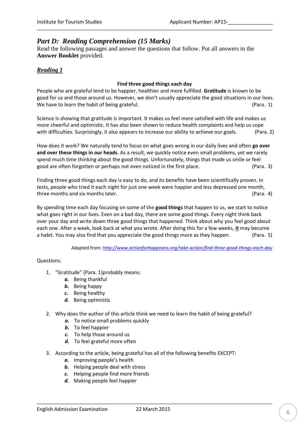### *Part D: Reading Comprehension (15 Marks)*

Read the following passages and answer the questions that follow. Put all answers in the **Answer Booklet** provided.

### *Reading 1*

#### **Find three good things each day**

People who are grateful tend to be happier, healthier and more fulfilled. **Gratitude** is known to be good for us and those around us. However, we don't usually appreciate the good situations in our lives. We have to learn the habit of being grateful. The same state of the same of the same of the same of the same of  $\left($  Para. 1)

Science is showing that gratitude is important. It makes us feel more satisfied with life and makes us more cheerful and optimistic. It has also been shown to reduce health complaints and help us cope with difficulties. Surprisingly, it also appears to increase our ability to achieve our goals. (Para. 2)

How does it work? We naturally tend to focus on what goes wrong in our daily lives and often **go over and over these things in our heads**. As a result, we quickly notice even small problems, yet we rarely spend much time thinking about the good things. Unfortunately, things that made us smile or feel good are often forgotten or perhaps not even noticed in the first place. (Para. 3)

Finding three good things each day is easy to do, and its benefits have been scientifically proven. In tests, people who tried it each night for just one week were happier and less depressed one month, three months and six months later. (Para. 4)

By spending time each day focusing on some of the **good things** that happen to us, we start to notice what goes right in our lives. Even on a bad day, there are some good things. Every night think back over your day and write down three good things that happened. Think about why you feel good about each one. After a week, look back at what you wrote. After doing this for a few weeks, **it** may become a habit. You may also find that you appreciate the good things more as they happen. (Para. 5)

Adapted from: *<http://www.actionforhappiness.org/take-action/find-three-good-things-each-day>*

#### Questions:

- 1. "Gratitude" (Para. 1)probably means:
	- *a.* Being thankful
	- *b.* Being happy
	- *c.* Being healthy
	- *d.* Being optimistic
- 2. Why does the author of this article think we need to learn the habit of being grateful?
	- *a.* To notice small problems quickly
	- *b.* To feel happier
	- *c.* To help those around us
	- *d.* To feel grateful more often
- 3. According to the article, being grateful has all of the following benefits EXCEPT:
	- *a.* Improving people's health
	- *b.* Helping people deal with stress
	- *c.* Helping people find more friends
	- *d.* Making people feel happier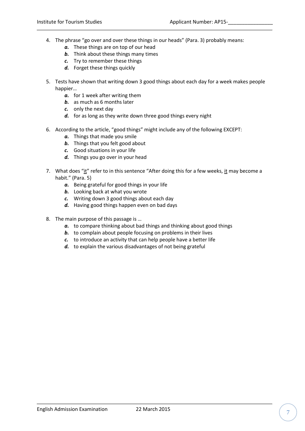- 4. The phrase "go over and over these things in our heads" (Para. 3) probably means:
	- *a.* These things are on top of our head
	- *b.* Think about these things many times
	- *c.* Try to remember these things
	- *d.* Forget these things quickly
- 5. Tests have shown that writing down 3 good things about each day for a week makes people happier…
	- *a.* for 1 week after writing them
	- *b.* as much as 6 months later
	- *c.* only the next day
	- *d.* for as long as they write down three good things every night
- 6. According to the article, "good things" might include any of the following EXCEPT:
	- *a.* Things that made you smile
	- **b.** Things that you felt good about
	- *c.* Good situations in your life
	- *d.* Things you go over in your head
- 7. What does "it" refer to in this sentence "After doing this for a few weeks, it may become a habit." (Para. 5)
	- *a.* Being grateful for good things in your life
	- *b.* Looking back at what you wrote
	- *c.* Writing down 3 good things about each day
	- *d.* Having good things happen even on bad days
- 8. The main purpose of this passage is …
	- *a.* to compare thinking about bad things and thinking about good things
	- *b.* to complain about people focusing on problems in their lives
	- *c.* to introduce an activity that can help people have a better life
	- *d.* to explain the various disadvantages of not being grateful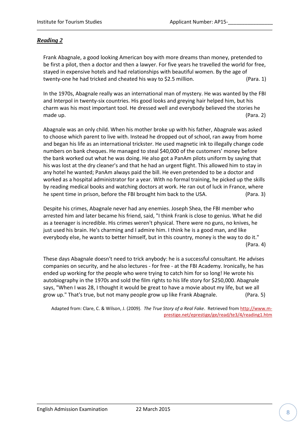### *Reading 2*

Frank Abagnale, a good looking American boy with more dreams than money, pretended to be first a pilot, then a doctor and then a lawyer. For five years he travelled the world for free, stayed in expensive hotels and had relationships with beautiful women. By the age of twenty-one he had tricked and cheated his way to \$2.5 million. (Para. 1)

In the 1970s, Abagnale really was an international man of mystery. He was wanted by the FBI and Interpol in twenty-six countries. His good looks and greying hair helped him, but his charm was his most important tool. He dressed well and everybody believed the stories he made up. (Para. 2)

Abagnale was an only child. When his mother broke up with his father, Abagnale was asked to choose which parent to live with. Instead he dropped out of school, ran away from home and began his life as an international trickster. He used magnetic ink to illegally change code numbers on bank cheques. He managed to steal \$40,000 of the customers' money before the bank worked out what he was doing. He also got a PanAm pilots uniform by saying that his was lost at the dry cleaner's and that he had an urgent flight. This allowed him to stay in any hotel he wanted; PanAm always paid the bill. He even pretended to be a doctor and worked as a hospital administrator for a year. With no formal training, he picked up the skills by reading medical books and watching doctors at work. He ran out of luck in France, where he spent time in prison, before the FBI brought him back to the USA. (Para. 3)

Despite his crimes, Abagnale never had any enemies. Joseph Shea, the FBI member who arrested him and later became his friend, said, "I think Frank is close to genius. What he did as a teenager is incredible. His crimes weren't physical. There were no guns, no knives, he just used his brain. He's charming and I admire him. I think he is a good man, and like everybody else, he wants to better himself, but in this country, money is the way to do it." (Para. 4)

These days Abagnale doesn't need to trick anybody: he is a successful consultant. He advises companies on security, and he also lectures - for free - at the FBI Academy. Ironically, he has ended up working for the people who were trying to catch him for so long! He wrote his autobiography in the 1970s and sold the film rights to his life story for \$250,000. Abagnale says, "When I was 28, I thought it would be great to have a movie about my life, but we all grow up." That's true, but not many people grow up like Frank Abagnale. (Para. 5)

Adapted from: Clare, C. & Wilson, J. (2009). *The True Story of a Real Fake*. Retrieved from [http://www.m](http://www.m-prestige.net/eprestige/ge/read/te3/4/reading1.htm)[prestige.net/eprestige/ge/read/te3/4/reading1.htm](http://www.m-prestige.net/eprestige/ge/read/te3/4/reading1.htm)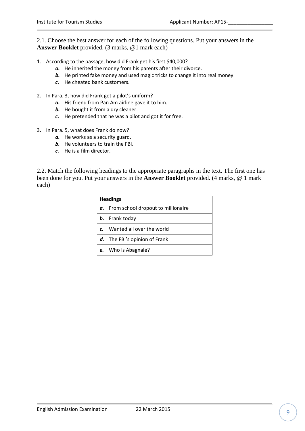2.1. Choose the best answer for each of the following questions. Put your answers in the **Answer Booklet** provided. (3 marks, @1 mark each)

- 1. According to the passage, how did Frank get his first \$40,000?
	- *a.* He inherited the money from his parents after their divorce.
	- *b.* He printed fake money and used magic tricks to change it into real money.
	- *c.* He cheated bank customers.
- 2. In Para. 3, how did Frank get a pilot's uniform?
	- *a.* His friend from Pan Am airline gave it to him.
	- *b.* He bought it from a dry cleaner.
	- *c.* He pretended that he was a pilot and got it for free.
- 3. In Para. 5, what does Frank do now?
	- *a.* He works as a security guard.
	- *b.* He volunteers to train the FBI.
	- *c.* He is a film director.

2.2. Match the following headings to the appropriate paragraphs in the text. The first one has been done for you. Put your answers in the **Answer Booklet** provided. (4 marks, @ 1 mark each)

|    | <b>Headings</b>                    |  |  |  |  |
|----|------------------------------------|--|--|--|--|
| α. | From school dropout to millionaire |  |  |  |  |
|    | <b>b.</b> Frank today              |  |  |  |  |
|    | Wanted all over the world          |  |  |  |  |
|    | The FBI's opinion of Frank         |  |  |  |  |
| e. | Who is Abagnale?                   |  |  |  |  |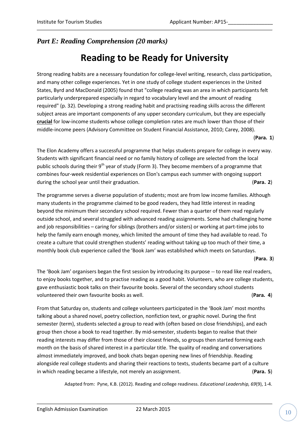### *Part E: Reading Comprehension (20 marks)*

### **Reading to be Ready for University**

Strong reading habits are a necessary foundation for college-level writing, research, class participation, and many other college experiences. Yet in one study of college student experiences in the United States, Byrd and MacDonald (2005) found that "college reading was an area in which participants felt particularly underprepared especially in regard to vocabulary level and the amount of reading required" (p. 32). Developing a strong reading habit and practising reading skills across the different subject areas are important components of any upper secondary curriculum, but they are especially **crucial** for low-income students whose college completion rates are much lower than those of their middle-income peers (Advisory Committee on Student Financial Assistance, 2010; Carey, 2008).

#### (**Para. 1**)

The Elon Academy offers a successful programme that helps students prepare for college in every way. Students with significant financial need or no family history of college are selected from the local public schools during their  $9<sup>th</sup>$  year of study (Form 3). They become members of a programme that combines four-week residential experiences on Elon's campus each summer with ongoing support during the school year until their graduation. (**Para. 2**)

The programme serves a diverse population of students; most are from low income families. Although many students in the programme claimed to be good readers, they had little interest in reading beyond the minimum their secondary school required. Fewer than a quarter of them read regularly outside school, and several struggled with advanced reading assignments. Some had challenging home and job responsibilities – caring for siblings (brothers and/or sisters) or working at part-time jobs to help the family earn enough money, which limited the amount of time they had available to read. To create a culture that could strengthen students' reading without taking up too much of their time, a monthly book club experience called the 'Book Jam' was established which meets on Saturdays.

#### (**Para. 3**)

The 'Book Jam' organisers began the first session by introducing its purpose -- to read like real readers, to enjoy books together, and to practise reading as a good habit. Volunteers, who are college students, gave enthusiastic book talks on their favourite books. Several of the secondary school students volunteered their own favourite books as well. (**Para. 4**)

From that Saturday on, students and college volunteers participated in the 'Book Jam' most months talking about a shared novel, poetry collection, nonfiction text, or graphic novel. During the first semester (term), students selected a group to read with (often based on close friendships), and each group then chose a book to read together. By mid-semester, students began to realise that their reading interests may differ from those of their closest friends, so groups then started forming each month on the basis of shared interest in a particular title. The quality of reading and conversations almost immediately improved, and book chats began opening new lines of friendship. Reading alongside real college students and sharing their reactions to texts, students became part of a culture in which reading became a lifestyle, not merely an assignment. (**Para. 5**)

Adapted from: Pyne, K.B. (2012). Reading and college readiness. *Educational Leadership, 69*(9), 1-4.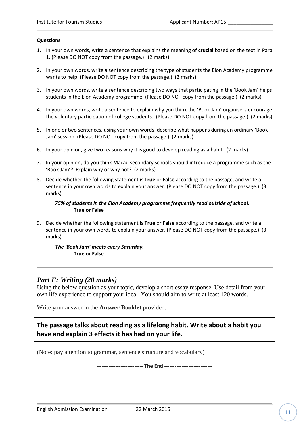#### **Questions**

- 1. In your own words, write a sentence that explains the meaning of **crucial** based on the text in Para. 1. (Please DO NOT copy from the passage.) (2 marks)
- 2. In your own words, write a sentence describing the type of students the Elon Academy programme wants to help. (Please DO NOT copy from the passage.) (2 marks)
- 3. In your own words, write a sentence describing two ways that participating in the 'Book Jam' helps students in the Elon Academy programme. (Please DO NOT copy from the passage.) (2 marks)
- 4. In your own words, write a sentence to explain why you think the 'Book Jam' organisers encourage the voluntary participation of college students. (Please DO NOT copy from the passage.) (2 marks)
- 5. In one or two sentences, using your own words, describe what happens during an ordinary 'Book Jam' session. (Please DO NOT copy from the passage.) (2 marks)
- 6. In your opinion, give two reasons why it is good to develop reading as a habit. (2 marks)
- 7. In your opinion, do you think Macau secondary schools should introduce a programme such as the 'Book Jam'? Explain why or why not? (2 marks)
- 8. Decide whether the following statement is **True** or **False** according to the passage, and write a sentence in your own words to explain your answer. (Please DO NOT copy from the passage.) (3 marks)

#### *75% of students in the Elon Academy programme frequently read outside of school.* **True or False**

9. Decide whether the following statement is **True** or **False** according to the passage, and write a sentence in your own words to explain your answer. (Please DO NOT copy from the passage.) (3 marks)

*The 'Book Jam' meets every Saturday.*  **True or False**

### *Part F: Writing (20 marks)*

Using the below question as your topic, develop a short essay response. Use detail from your own life experience to support your idea. You should aim to write at least 120 words.

Write your answer in the **Answer Booklet** provided.

### **The passage talks about reading as a lifelong habit. Write about a habit you have and explain 3 effects it has had on your life.**

(Note: pay attention to grammar, sentence structure and vocabulary)

**--------------------------- The End ----------------------------**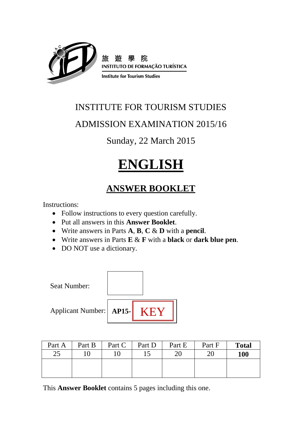

旅 院 **INSTITUTO DE FORMAÇÃO TURÍSTICA** 

**Institute for Tourism Studies** 

### INSTITUTE FOR TOURISM STUDIES

### ADMISSION EXAMINATION 2015/16

Sunday, 22 March 2015

## **ENGLISH**

### **ANSWER BOOKLET**

Instructions:

- Follow instructions to every question carefully.
- Put all answers in this **Answer Booklet**.
- Write answers in Parts **A**, **B**, **C** & **D** with a **pencil**.
- Write answers in Parts **E** & **F** with a **black** or **dark blue pen**.
- DO NOT use a dictionary.



| Part A | Part B | Part C | Part D | Part E | Part F | <b>Total</b> |
|--------|--------|--------|--------|--------|--------|--------------|
| 25     |        |        |        | 20     | 20     | <b>100</b>   |
|        |        |        |        |        |        |              |
|        |        |        |        |        |        |              |

This **Answer Booklet** contains 5 pages including this one.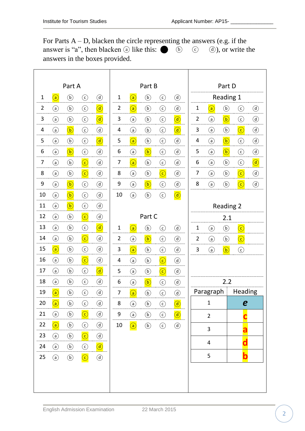For Parts  $A - D$ , blacken the circle representing the answers (e.g. if the answer is "a", then blacken  $\overline{a}$  like this:  $\bullet$   $\overline{b}$   $\overline{c}$   $\overline{d}$ ), or write the answers in the boxes provided.

| Part A         |                                                    |                                      |                           |                                        |                |                                      | Part B                               |                |            |                |                             | Part D                               |                                     |            |
|----------------|----------------------------------------------------|--------------------------------------|---------------------------|----------------------------------------|----------------|--------------------------------------|--------------------------------------|----------------|------------|----------------|-----------------------------|--------------------------------------|-------------------------------------|------------|
| $\mathbf{1}$   | $\left( a\right)$                                  | $\bigcirc$                           | $\odot$                   | $\bigcirc$                             | $\mathbf{1}$   | $\bigcirc$                           | $\circledb$                          | $_{\odot}$     | $\bigcirc$ |                |                             | Reading 1                            |                                     |            |
| $\overline{2}$ | $\circled{a}$                                      | $\bigcirc$                           | $\odot$                   | $\bigcirc$                             | $\overline{2}$ | $\bigcirc$                           | $\circledb$                          | $\odot$        | $\bigcirc$ | $\mathbf{1}$   | $\left( \widehat{a}\right)$ | $\bigcirc$                           | $\odot$                             | $\bigcirc$ |
| 3              | $\odot$                                            | $\circledb$                          | $\odot$                   | $\bigcirc$                             | 3              | $\odot$                              | $\circled{b}$                        | $\odot$        | $\bigcirc$ | $\overline{2}$ | $\odot$                     | $\bigcirc$                           | $_{\copyright}$                     | $\bigcirc$ |
| 4              | (a)                                                | $\bigcirc$                           | $\odot$                   | $\bigcirc$                             | 4              | $\odot$                              | $\circled{b}$                        | $\odot$        | $\bigcirc$ | 3              | $\odot$                     | $\circledb$                          | $\bigodot$                          | $\bigcirc$ |
| 5              | $\Large(a)$                                        | $\circledb$                          | $\odot$                   | $\circled{a}$                          | 5              | $\left(\overline{\mathsf{a}}\right)$ | $\circled{b}$                        | $\odot$        | $\bigcirc$ | 4              | $\odot$                     | $\left(\overline{\mathsf{b}}\right)$ | $\bigodot$                          | $\bigcirc$ |
| 6              | $\binom{a}{b}$                                     | $\bigcirc$                           | $\odot$                   | $\circled{d}$                          | 6              | $\odot$                              | $\left(\overline{\mathbf{b}}\right)$ | $\odot$        | $\bigcirc$ | 5              | $\circled{a}$               | $\left(\overline{\mathsf{b}}\right)$ | $\left( \mathsf{c}\right)$          | $\bigcirc$ |
| 7              | $\binom{a}{b}$                                     | $\bigcirc$                           | $\odot$                   | $\bigcirc$                             | 7              | $\left( \widehat{a}\right)$          | $\circled{b}$                        | $\bigodot$     | $\bigcirc$ | 6              | $\binom{a}{b}$              | $\circledb$                          | $\bigodot$                          | $\bigcirc$ |
| 8              | $\binom{a}{b}$                                     | $\circled{b}$                        | $\overline{(\mathsf{c})}$ | $\bigcirc$                             | 8              | $\odot$                              | $\circled{b}$                        | $\overline{c}$ | $\bigcirc$ | 7              | $\binom{a}{b}$              | $\circled{b}$                        | $\bigodot$                          | $\bigcirc$ |
| 9              | $\left( \mathsf{a}\right)$                         | $\left(\overline{\mathsf{b}}\right)$ | $\odot$                   | $\bigcirc$                             | 9              | $\bigodot$                           | $\left(\overline{\mathsf{b}}\right)$ | $\odot$        | $\bigcirc$ | 8              | $\Large(a)$                 | $\bigcircledb$                       | $\left(\widehat{\mathbf{c}}\right)$ | $\bigcirc$ |
| 10             | $\odot$                                            | $\bigcirc$                           | $\odot$                   | $\bigcirc$                             | 10             | $\bigodot$                           | $\circledb$                          | $_{\odot}$     | $\bigcirc$ |                |                             |                                      |                                     |            |
| 11             | $\odot$                                            | $\left(\mathbf{b}\right)$            | $\odot$                   | $\bigcirc$                             |                |                                      |                                      |                |            |                |                             | <b>Reading 2</b>                     |                                     |            |
| 12             | $\circled{a}$                                      | $\circled{b}$                        | $\bigodot$                | $\bigcirc$                             |                |                                      | Part C                               |                |            | 2.1            |                             |                                      |                                     |            |
| 13             | $\odot$                                            | $\circledb$                          | $\odot$                   | $\left(\overline{\mathfrak{a}}\right)$ | $\mathbf{1}$   | $\bigcirc$                           | $\circledb$                          | $\odot$        | $\bigcirc$ | $\mathbf{1}$   | $\circled{a}$               | $\circled{b}$                        | $\bigodot$                          |            |
| 14             | $\bigcirc$                                         | $\circled{b}$                        | $\bigodot$                | $\bigcirc$                             | $\overline{2}$ | $\odot$                              | $\left(\mathbf{b}\right)$            | $\odot$        | $\bigcirc$ | $\overline{2}$ | $\odot$                     | $\bigcirc$                           | $\odot$                             |            |
| 15             | $\left( \begin{matrix} 5 \ 3 \end{matrix} \right)$ | $\circledb$                          | $\odot$                   | $\bigcirc$                             | 3              | $\bigcirc$                           | $\circled{b}$                        | $\odot$        | $\bigcirc$ | 3              | $\circled{a}$               | $\left(\mathsf{b}\right)$            | $_{\copyright}$                     |            |
| 16             | $\odot$                                            | $\circledb$                          | $\bigodot$                | $\bigcirc$                             | 4              | $\odot$                              | $\circledb$                          | $\bigodot$     | $\bigcirc$ |                |                             |                                      |                                     |            |
| 17             | $\binom{a}{b}$                                     | $\bigcirc$                           | $\odot$                   | $\overline{(\mathfrak{d})}$            | 5              | $\odot$                              | $\circledb$                          | $\overline{C}$ | $\bigcirc$ |                |                             |                                      |                                     |            |
| 18             | $\binom{a}{b}$                                     | $\circled{b}$                        | $\odot$                   | $\circledcirc$                         | 6              | $\odot$                              | $\left(\overline{\mathsf{b}}\right)$ | $\odot$        | $\bigcirc$ |                |                             | 2.2                                  |                                     |            |
| 19             | $\boxed{\mathsf{a}}$                               | $\bigcirc$                           | $\odot$                   | $\bigcirc$                             | 7              | $\left( \widehat{a}\right)$          | $\circled{b}$                        | $\bigodot$     | $\bigcirc$ |                | Paragraph                   |                                      | Heading                             |            |
| 20             | $\bigcirc$                                         | $^{\copyright}$                      | $\odot$                   | $\bigcirc$                             | 8              | $\odot$                              | $\circled{b}$                        | $\odot$        | $\bigcirc$ |                | $\mathbf{1}$                |                                      | e                                   |            |
| 21             | $\odot$                                            | $\circled{b}$                        | $\bigodot$                | $\bigcirc$                             | 9              | $\odot$                              | $\circled{b}$                        | $\odot$        | $\bigcirc$ |                | $\overline{2}$              |                                      |                                     |            |
| 22             | $\circled{a}$                                      | $\circled{b}$                        | $\odot$                   | $\bigcirc$                             | 10             | $\bigodot$                           | $\circled{b}$                        | $\odot$        | $\bigcirc$ |                | $\mathbf{3}$                |                                      | a                                   |            |
| 23             | $\odot$                                            | $\circled{b}$                        | $\bigodot$                | $\circled{d}$                          |                |                                      |                                      |                |            |                |                             |                                      |                                     |            |
| 24             | $\odot$                                            | $\circled{b}$                        | $\odot$                   | $\bigcirc$                             |                |                                      |                                      |                |            |                | $\overline{4}$              |                                      | d                                   |            |
| 25             | $\odot$                                            | $\circled{b}$                        | $\bigodot$                | $\circled{d}$                          |                |                                      |                                      |                |            |                | 5                           |                                      | $\overline{\mathbf{b}}$             |            |
|                |                                                    |                                      |                           |                                        |                |                                      |                                      |                |            |                |                             |                                      |                                     |            |
|                |                                                    |                                      |                           |                                        |                |                                      |                                      |                |            |                |                             |                                      |                                     |            |
|                |                                                    |                                      |                           |                                        |                |                                      |                                      |                |            |                |                             |                                      |                                     |            |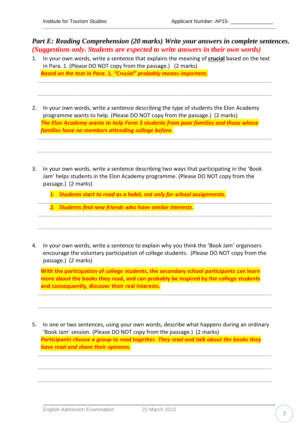*Part E: Reading Comprehension (20 marks) Write your answers in complete sentences. (Suggestions only. Students are expected to write answers in their own words)*

- 1. In your own words, write a sentence that explains the meaning of **crucial** based on the text in Para. 1. (Please DO NOT copy from the passage.) (2 marks) *Based on the text in Para. 1, "Crucial" probably means important.*
- 2. In your own words, write a sentence describing the type of students the Elon Academy programme wants to help. (Please DO NOT copy from the passage.) (2 marks) *The Elon Academy wants to help Form 3 students from poor families and those whose families have no members attending college before.*
- 3. In your own words, write a sentence describing two ways that participating in the 'Book Jam' helps students in the Elon Academy programme. (Please DO NOT copy from the passage.) (2 marks)

*1. Students start to read as a habit, not only for school assignments.*

- *2. Students find new friends who have similar interests.*
- 4. In your own words, write a sentence to explain why you think the 'Book Jam' organisers encourage the voluntary participation of college students. (Please DO NOT copy from the passage.) (2 marks)

**With the participation of college students, the secondary school participants can learn more about the books they read, and can probably be inspired by the college students and consequently, discover their real interests.**

5. In one or two sentences, using your own words, describe what happens during an ordinary 'Book Jam' session. (Please DO NOT copy from the passage.) (2 marks) *Participants choose a group to read together. They read and talk about the books they have read and share their opinions.*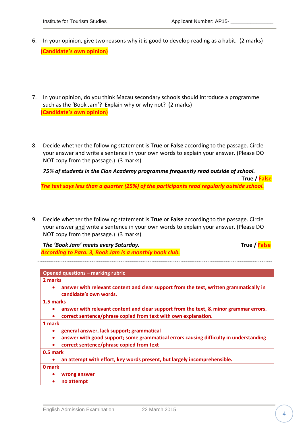|                           | 6. In your opinion, give two reasons why it is good to develop reading as a habit. (2 marks) |  |
|---------------------------|----------------------------------------------------------------------------------------------|--|
| (Candidate's own opinion) |                                                                                              |  |

| 7. | In your opinion, do you think Macau secondary schools should introduce a programme<br>such as the 'Book Jam'? Explain why or why not? (2 marks)<br>(Candidate's own opinion)                                               |
|----|----------------------------------------------------------------------------------------------------------------------------------------------------------------------------------------------------------------------------|
| 8. | Decide whether the following statement is True or False according to the passage. Circle<br>your answer and write a sentence in your own words to explain your answer. (Please DO<br>NOT copy from the passage.) (3 marks) |

*75% of students in the Elon Academy programme frequently read outside of school.*

*The text says less than a quarter (25%) of the participants read regularly outside school.*

9. Decide whether the following statement is **True** or **False** according to the passage. Circle your answer and write a sentence in your own words to explain your answer. (Please DO NOT copy from the passage.) (3 marks)

*The 'Book Jam' meets every Saturday.* **True / False** *According to Para. 3, Book Jam is a monthly book club.*

**True / False**

### **Opened questions – marking rubric**

**2 marks** 

 **answer with relevant content and clear support from the text, written grammatically in candidate's own words.**

**1.5 marks** 

- **answer with relevant content and clear support from the text, & minor grammar errors.**
- **correct sentence/phrase copied from text with own explanation.**

**1 mark**

- **general answer, lack support; grammatical**
- **answer with good support; some grammatical errors causing difficulty in understanding**
- **correct sentence/phrase copied from text**

**0.5 mark**

|  | an attempt with effort, key words present, but largely incomprehensible. |  |  |  |  |
|--|--------------------------------------------------------------------------|--|--|--|--|
|--|--------------------------------------------------------------------------|--|--|--|--|

**0 mark**

- **wrong answer**
- **no attempt**